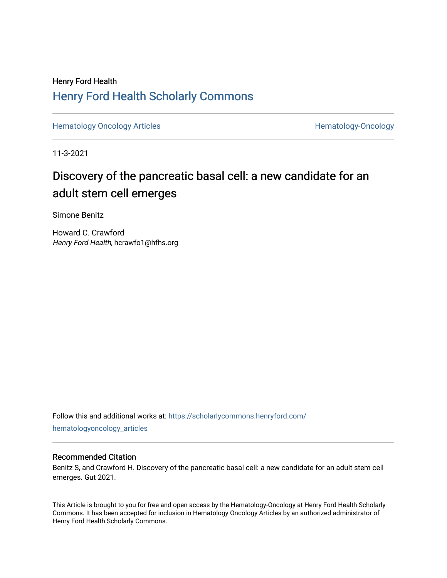### Henry Ford Health [Henry Ford Health Scholarly Commons](https://scholarlycommons.henryford.com/)

[Hematology Oncology Articles](https://scholarlycommons.henryford.com/hematologyoncology_articles) **Hematology-Oncology** 

11-3-2021

## Discovery of the pancreatic basal cell: a new candidate for an adult stem cell emerges

Simone Benitz

Howard C. Crawford Henry Ford Health, hcrawfo1@hfhs.org

Follow this and additional works at: [https://scholarlycommons.henryford.com/](https://scholarlycommons.henryford.com/hematologyoncology_articles?utm_source=scholarlycommons.henryford.com%2Fhematologyoncology_articles%2F216&utm_medium=PDF&utm_campaign=PDFCoverPages) [hematologyoncology\\_articles](https://scholarlycommons.henryford.com/hematologyoncology_articles?utm_source=scholarlycommons.henryford.com%2Fhematologyoncology_articles%2F216&utm_medium=PDF&utm_campaign=PDFCoverPages)

### Recommended Citation

Benitz S, and Crawford H. Discovery of the pancreatic basal cell: a new candidate for an adult stem cell emerges. Gut 2021.

This Article is brought to you for free and open access by the Hematology-Oncology at Henry Ford Health Scholarly Commons. It has been accepted for inclusion in Hematology Oncology Articles by an authorized administrator of Henry Ford Health Scholarly Commons.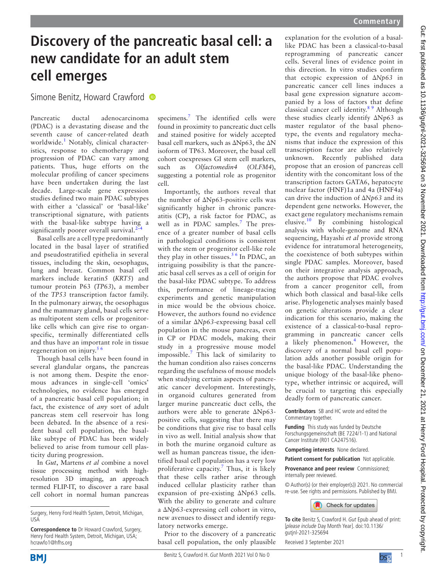# **Discovery of the pancreatic basal cell: a new candidate for an adult stem cell emerges**

Simone Benitz, Howard Crawford

Pancreatic ductal adenocarcinoma (PDAC) is a devastating disease and the seventh cause of cancer-related death worldwide.<sup>[1](#page-2-0)</sup> Notably, clinical characteristics, response to chemotherapy and progression of PDAC can vary among patients. Thus, huge efforts on the molecular profiling of cancer specimens have been undertaken during the last decade. Large-scale gene expression studies defined two main PDAC subtypes with either a 'classical' or 'basal-like' transcriptional signature, with patients with the basal-like subtype having a significantly poorer overall survival. $<sup>2</sup>$ </sup>

Basal cells are a cell type predominantly located in the basal layer of stratified and pseudostratified epithelia in several tissues, including the skin, oesophagus, lung and breast. Common basal cell markers include keratin5 (*KRT5*) and tumour protein P63 (*TP63*), a member of the *TP53* transcription factor family. In the pulmonary airway, the oesophagus and the mammary gland, basal cells serve as multipotent stem cells or progenitorlike cells which can give rise to organspecific, terminally differentiated cells and thus have an important role in tissue regeneration on injury.<sup>56</sup>

Though basal cells have been found in several glandular organs, the pancreas is not among them. Despite the enormous advances in single-cell 'omics' technologies, no evidence has emerged of a pancreatic basal cell population; in fact, the existence of *any* sort of adult pancreas stem cell reservoir has long been debated. In the absence of a resident basal cell population, the basallike subtype of PDAC has been widely believed to arise from tumour cell plasticity during progression.

In *Gut*, Martens *et al* combine a novel tissue processing method with highresolution 3D imaging, an approach termed FLIP-IT, to discover a rare basal cell cohort in normal human pancreas

specimens.<sup>[7](#page-2-3)</sup> The identified cells were found in proximity to pancreatic duct cells and stained positive for widely accepted basal cell markers, such as ΔNp63, the ΔN isoform of TP63. Moreover, the basal cell cohort coexpresses GI stem cell markers, such as *Olfactomedin4* (*OLFM4*), suggesting a potential role as progenitor cell.

Importantly, the authors reveal that the number of ΔNp63-positive cells was significantly higher in chronic pancreatitis (CP), a risk factor for PDAC, as well as in PDAC samples.<sup>[7](#page-2-3)</sup> The presence of a greater number of basal cells in pathological conditions is consistent with the stem or progenitor cell-like role they play in other tissues.<sup>[5 6](#page-2-2)</sup> In PDAC, an intriguing possibility is that the pancreatic basal cell serves as a cell of origin for the basal-like PDAC subtype. To address this, performance of lineage-tracing experiments and genetic manipulation in mice would be the obvious choice. However, the authors found no evidence of a similar *ΔNp63*-expressing basal cell population in the mouse pancreas, even in CP or PDAC models, making their study in a progressive mouse model impossible.[7](#page-2-3) This lack of similarity to the human condition also raises concerns regarding the usefulness of mouse models when studying certain aspects of pancreatic cancer development. Interestingly, in organoid cultures generated from larger murine pancreatic duct cells, the authors were able to generate ΔNp63 positive cells, suggesting that there may be conditions that give rise to basal cells in vivo as well. Initial analysis show that in both the murine organoid culture as well as human pancreas tissue, the identified basal cell population has a very low proliferative capacity.<sup>[7](#page-2-3)</sup> Thus, it is likely that these cells rather arise through induced cellular plasticity rather than expansion of pre-existing ΔNp63 cells. With the ability to generate and culture a *ΔNp63*-expressing cell cohort in vitro, new avenues to dissect and identify regulatory networks emerge.

Prior to the discovery of a pancreatic basal cell population, the only plausible explanation for the evolution of a basallike PDAC has been a classical-to-basal reprogramming of pancreatic cancer cells. Several lines of evidence point in this direction. In vitro studies confirm that ectopic expression of *ΔNp63* in pancreatic cancer cell lines induces a basal gene expression signature accompanied by a loss of factors that define classical cancer cell identity.[8 9](#page-2-4) Although these studies clearly identify ΔNp63 as master regulator of the basal phenotype, the events and regulatory mechanisms that induce the expression of this transcription factor are also relatively unknown. Recently published data propose that an erosion of pancreas cell identity with the concomitant loss of the transcription factors GATA6, hepatocyte nuclear factor (HNF)1a and 4a (HNF4a) can drive the induction of *ΔNp63* and its dependent gene networks. However, the exact gene regulatory mechanisms remain elusive.[10](#page-2-5) By combining histological analysis with whole-genome and RNA sequencing, Hayashi *et al* provide strong evidence for intratumoral heterogeneity, the coexistence of both subtypes within single PDAC samples. Moreover, based on their integrative analysis approach, the authors propose that PDAC evolves from a cancer progenitor cell, from which both classical and basal-like cells arise. Phylogenetic analyses mainly based on genetic alterations provide a clear indication for this scenario, making the existence of a classical-to-basal reprogramming in pancreatic cancer cells a likely phenomenon.<sup>[4](#page-2-6)</sup> However, the discovery of a normal basal cell population adds another possible origin for the basal-like PDAC. Understanding the unique biology of the basal-like phenotype, whether intrinsic or acquired, will be crucial to targeting this especially deadly form of pancreatic cancer.

**Contributors** SB and HC wrote and edited the Commentary together.

**Funding** This study was funded by Deutsche Forschungsgemeinschaft (BE 7224/1-1) and National Cancer Institute (R01 CA247516).

**Competing interests** None declared.

**Patient consent for publication** Not applicable.

**Provenance and peer review** Commissioned; internally peer reviewed.

© Author(s) (or their employer(s)) 2021. No commercial re-use. See rights and permissions. Published by BMJ.



**To cite** Benitz S, Crawford H. Gut Epub ahead of print: [please include Day Month Year]. doi:10.1136/ gutjnl-2021-325694

Received 3 September 2021

Surgery, Henry Ford Health System, Detroit, Michigan, **TISA** 

**Correspondence to** Dr Howard Crawford, Surgery, Henry Ford Health System, Detroit, Michigan, USA; hcrawfo1@hfhs.org